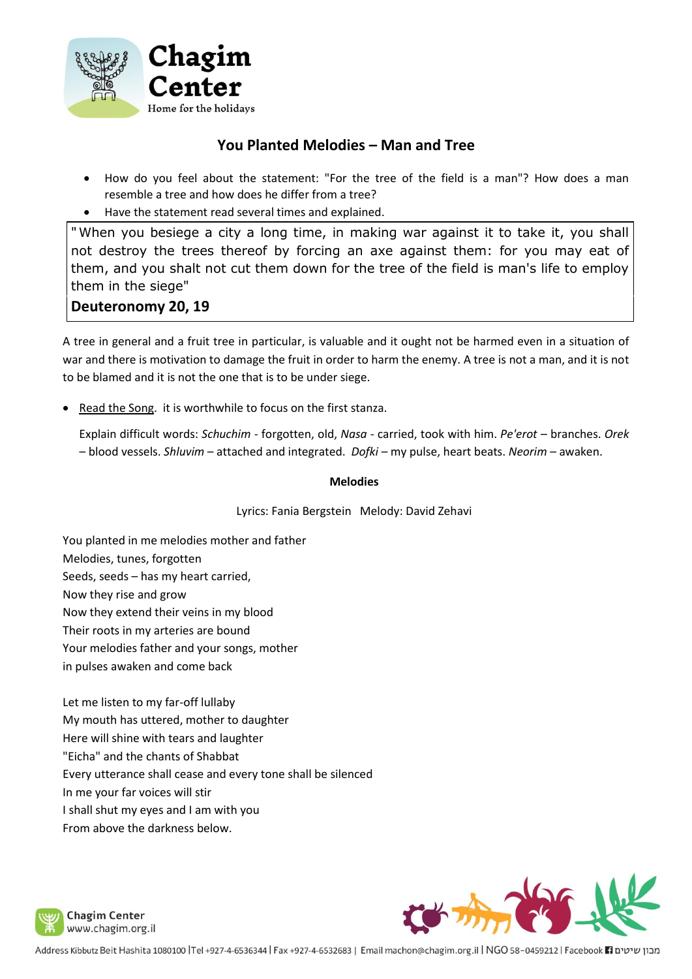

## **You Planted Melodies – Man and Tree**

- How do you feel about the statement: "For the tree of the field is a man"? How does a man resemble a tree and how does he differ from a tree?
- Have the statement read several times and explained.

"When you besiege a city a long time, in making war against it to take it, you shall not destroy the trees thereof by forcing an axe against them: for you may eat of them, and you shalt not cut them down for the tree of the field is man's life to employ them in the siege"

## **Deuteronomy 20, 19**

A tree in general and a fruit tree in particular, is valuable and it ought not be harmed even in a situation of war and there is motivation to damage the fruit in order to harm the enemy. A tree is not a man, and it is not to be blamed and it is not the one that is to be under siege.

• Read the Song. it is worthwhile to focus on the first stanza.

Explain difficult words: *Schuchim -* forgotten, old, *Nasa* - carried, took with him. *Pe'erot* – branches. *Orek –* blood vessels. *Shluvim* – attached and integrated. *Dofki –* my pulse, heart beats. *Neorim –* awaken.

## **Melodies**

Lyrics: Fania Bergstein Melody: David Zehavi

You planted in me melodies mother and father Melodies, tunes, forgotten Seeds, seeds – has my heart carried, Now they rise and grow Now they extend their veins in my blood Their roots in my arteries are bound Your melodies father and your songs, mother

in pulses awaken and come back

Let me listen to my far-off lullaby My mouth has uttered, mother to daughter Here will shine with tears and laughter "Eicha" and the chants of Shabbat Every utterance shall cease and every tone shall be silenced In me your far voices will stir I shall shut my eyes and I am with you From above the darkness below.